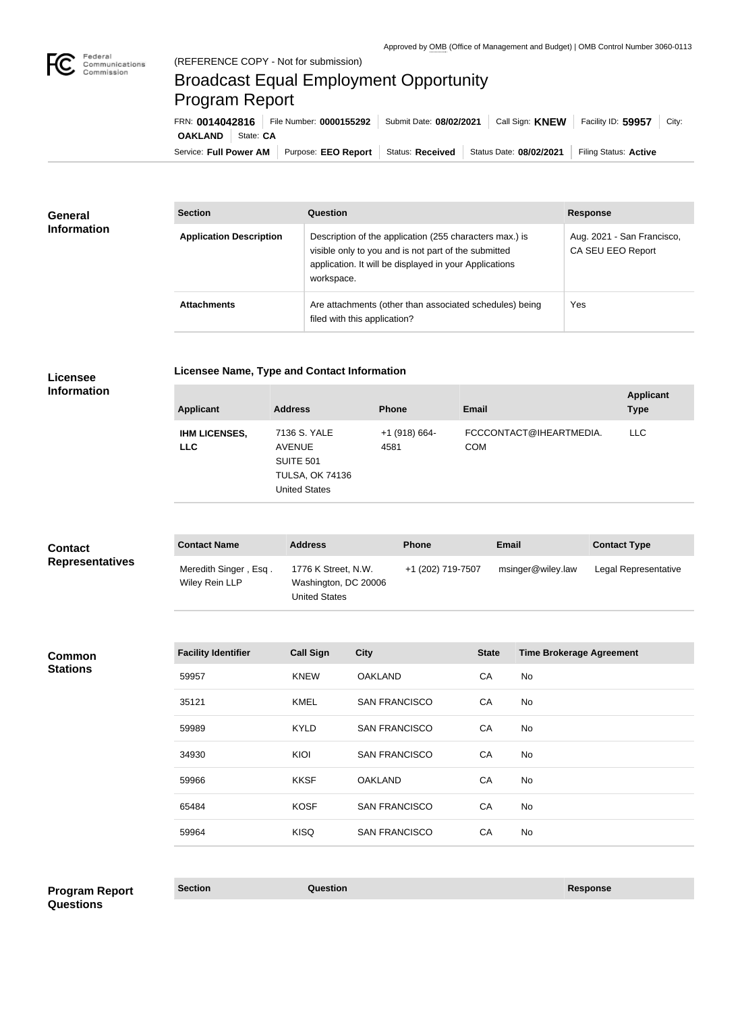

## Broadcast Equal Employment Opportunity Program Report

Service: Full Power AM | Purpose: EEO Report | Status: Received | Status Date: 08/02/2021 | Filing Status: Active **OAKLAND** State: CA FRN: **0014042816** File Number: **0000155292** Submit Date: **08/02/2021** Call Sign: **KNEW** Facility ID: **59957** City:

| General<br><b>Information</b> | <b>Section</b>                 | Question                                                                                                                                                                                | <b>Response</b>                                 |
|-------------------------------|--------------------------------|-----------------------------------------------------------------------------------------------------------------------------------------------------------------------------------------|-------------------------------------------------|
|                               | <b>Application Description</b> | Description of the application (255 characters max.) is<br>visible only to you and is not part of the submitted<br>application. It will be displayed in your Applications<br>workspace. | Aug. 2021 - San Francisco,<br>CA SEU EEO Report |
|                               | <b>Attachments</b>             | Are attachments (other than associated schedules) being<br>filed with this application?                                                                                                 | Yes                                             |

|                 | Li |  |
|-----------------|----|--|
| <b>Licensee</b> |    |  |

**Licensee Name, Type and Contact Information**

**Information**

| <b>Applicant</b>                   | <b>Address</b>                                                                                      | <b>Phone</b>            | Email                                 | <b>Applicant</b><br><b>Type</b> |
|------------------------------------|-----------------------------------------------------------------------------------------------------|-------------------------|---------------------------------------|---------------------------------|
| <b>IHM LICENSES,</b><br><b>LLC</b> | 7136 S. YALE<br><b>AVENUE</b><br><b>SUITE 501</b><br><b>TULSA, OK 74136</b><br><b>United States</b> | $+1$ (918) 664-<br>4581 | FCCCONTACT@IHEARTMEDIA.<br><b>COM</b> | LLC.                            |

| <b>Contact</b>         | <b>Contact Name</b>                     | <b>Address</b>                                                      | <b>Phone</b>      | Email             | <b>Contact Type</b>  |
|------------------------|-----------------------------------------|---------------------------------------------------------------------|-------------------|-------------------|----------------------|
| <b>Representatives</b> | Meredith Singer, Esq.<br>Wiley Rein LLP | 1776 K Street, N.W.<br>Washington, DC 20006<br><b>United States</b> | +1 (202) 719-7507 | msinger@wiley.law | Legal Representative |

**Common Stations**

| <b>Facility Identifier</b> | <b>Call Sign</b> | <b>City</b>          | <b>State</b> | <b>Time Brokerage Agreement</b> |
|----------------------------|------------------|----------------------|--------------|---------------------------------|
| 59957                      | <b>KNEW</b>      | <b>OAKLAND</b>       | CA           | No                              |
| 35121                      | KMEL             | <b>SAN FRANCISCO</b> | CA           | No                              |
| 59989                      | <b>KYLD</b>      | <b>SAN FRANCISCO</b> | CA           | No                              |
| 34930                      | KIOI             | <b>SAN FRANCISCO</b> | CA           | No                              |
| 59966                      | <b>KKSF</b>      | <b>OAKLAND</b>       | CA           | No                              |
| 65484                      | <b>KOSF</b>      | <b>SAN FRANCISCO</b> | CA           | No                              |
| 59964                      | <b>KISQ</b>      | <b>SAN FRANCISCO</b> | CA           | No                              |
|                            |                  |                      |              |                                 |

**Section Question Response Program Report Questions**